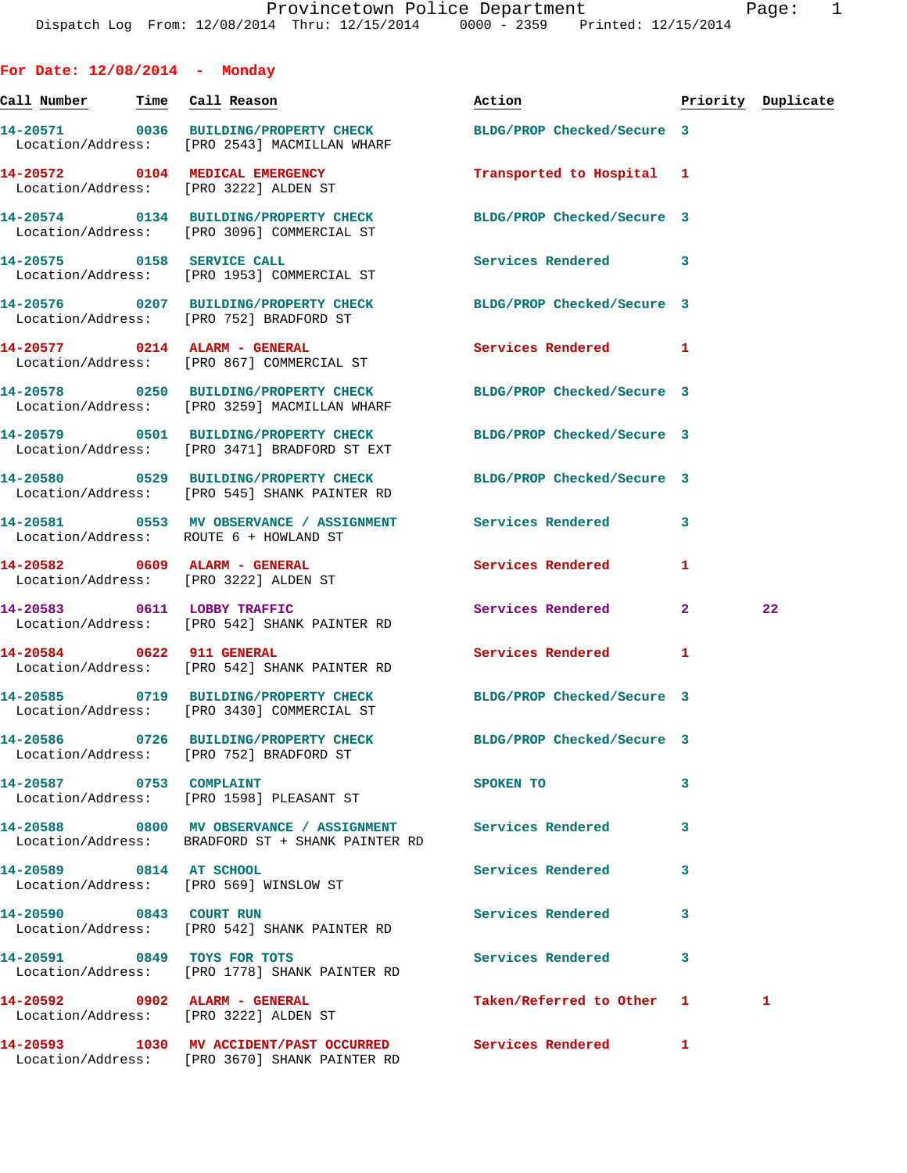| For Date: $12/08/2014$ - Monday                                        |                                                                                                                |                            |   |                    |
|------------------------------------------------------------------------|----------------------------------------------------------------------------------------------------------------|----------------------------|---|--------------------|
| Call Number - Time Call Reason                                         |                                                                                                                | Action                     |   | Priority Duplicate |
|                                                                        | 14-20571 0036 BUILDING/PROPERTY CHECK<br>Location/Address: [PRO 2543] MACMILLAN WHARF                          | BLDG/PROP Checked/Secure 3 |   |                    |
| Location/Address: [PRO 3222] ALDEN ST                                  | 14-20572 0104 MEDICAL EMERGENCY                                                                                | Transported to Hospital 1  |   |                    |
|                                                                        | 14-20574 0134 BUILDING/PROPERTY CHECK<br>Location/Address: [PRO 3096] COMMERCIAL ST                            | BLDG/PROP Checked/Secure 3 |   |                    |
|                                                                        | 14-20575 0158 SERVICE CALL<br>Location/Address: [PRO 1953] COMMERCIAL ST                                       | Services Rendered          | 3 |                    |
|                                                                        | 14-20576 0207 BUILDING/PROPERTY CHECK<br>Location/Address: [PRO 752] BRADFORD ST                               | BLDG/PROP Checked/Secure 3 |   |                    |
|                                                                        | 14-20577 0214 ALARM - GENERAL<br>Location/Address: [PRO 867] COMMERCIAL ST                                     | Services Rendered 1        |   |                    |
|                                                                        | 14-20578 0250 BUILDING/PROPERTY CHECK<br>Location/Address: [PRO 3259] MACMILLAN WHARF                          | BLDG/PROP Checked/Secure 3 |   |                    |
|                                                                        | 14-20579 0501 BUILDING/PROPERTY CHECK<br>Location/Address: [PRO 3471] BRADFORD ST EXT                          | BLDG/PROP Checked/Secure 3 |   |                    |
|                                                                        | 14-20580 0529 BUILDING/PROPERTY CHECK<br>Location/Address: [PRO 545] SHANK PAINTER RD                          | BLDG/PROP Checked/Secure 3 |   |                    |
| Location/Address: ROUTE 6 + HOWLAND ST                                 | 14-20581 0553 MV OBSERVANCE / ASSIGNMENT Services Rendered                                                     |                            | 3 |                    |
| 14-20582 0609 ALARM - GENERAL<br>Location/Address: [PRO 3222] ALDEN ST |                                                                                                                | Services Rendered          | 1 |                    |
|                                                                        | 14-20583 0611 LOBBY TRAFFIC<br>Location/Address: [PRO 542] SHANK PAINTER RD                                    | Services Rendered 2        |   | $22 \,$            |
| 14-20584 0622 911 GENERAL                                              | Location/Address: [PRO 542] SHANK PAINTER RD                                                                   | Services Rendered          | 1 |                    |
|                                                                        | 14-20585 0719 BUILDING/PROPERTY CHECK BLDG/PROP Checked/Secure 3<br>Location/Address: [PRO 3430] COMMERCIAL ST |                            |   |                    |
|                                                                        | 14-20586 0726 BUILDING/PROPERTY CHECK BLDG/PROP Checked/Secure 3<br>Location/Address: [PRO 752] BRADFORD ST    |                            |   |                    |
| 14-20587 0753 COMPLAINT                                                | Location/Address: [PRO 1598] PLEASANT ST                                                                       | SPOKEN TO                  | 3 |                    |
|                                                                        | 14-20588 0800 MV OBSERVANCE / ASSIGNMENT<br>Location/Address: BRADFORD ST + SHANK PAINTER RD                   | <b>Services Rendered</b>   | 3 |                    |
| 14-20589 0814 AT SCHOOL<br>Location/Address: [PRO 569] WINSLOW ST      |                                                                                                                | Services Rendered          | 3 |                    |
| 14-20590 0843 COURT RUN                                                | Location/Address: [PRO 542] SHANK PAINTER RD                                                                   | Services Rendered          | 3 |                    |
|                                                                        | 14-20591 0849 TOYS FOR TOTS<br>Location/Address: [PRO 1778] SHANK PAINTER RD                                   | Services Rendered          | 3 |                    |
| 14-20592 0902 ALARM - GENERAL<br>Location/Address: [PRO 3222] ALDEN ST |                                                                                                                | Taken/Referred to Other 1  |   | 1                  |
|                                                                        | 14-20593 1030 MV ACCIDENT/PAST OCCURRED Services Rendered 1<br>Location/Address: [PRO 3670] SHANK PAINTER RD   |                            |   |                    |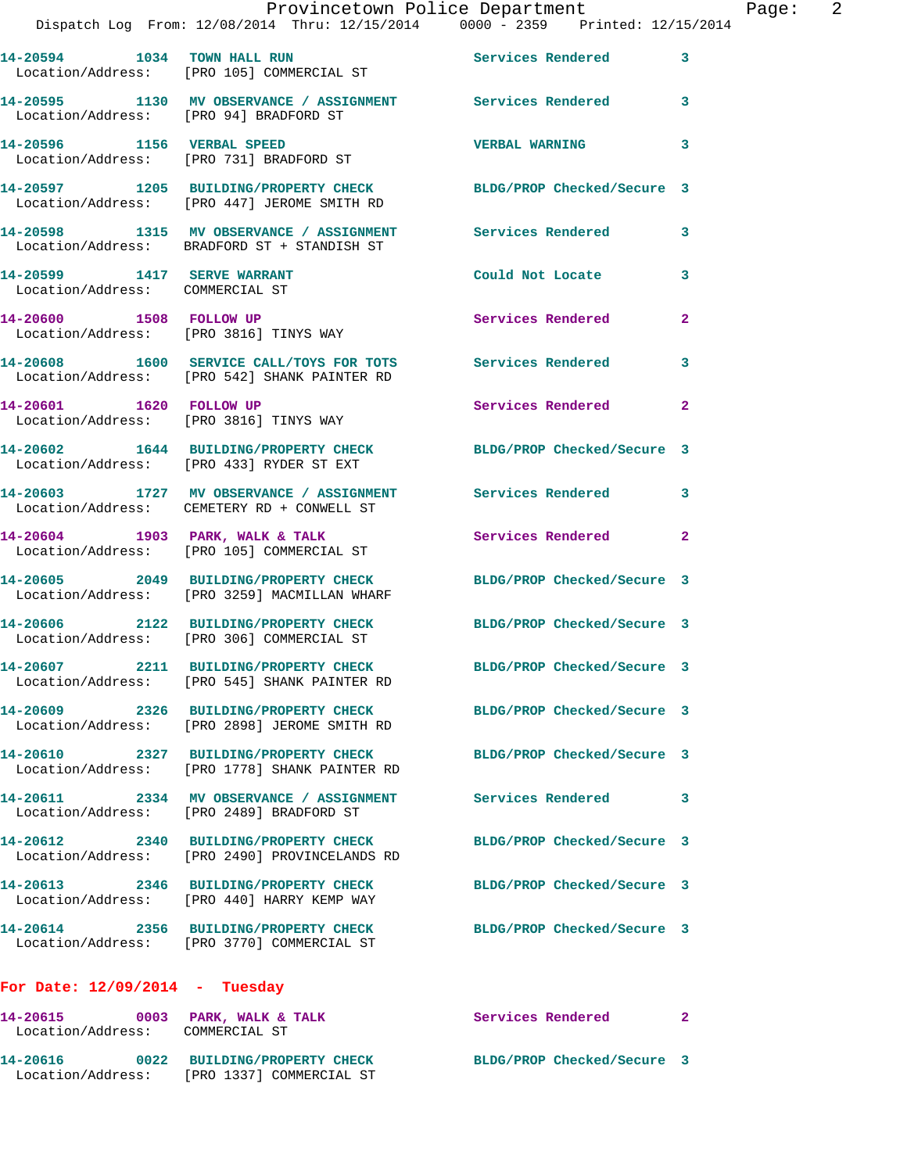|          |      | Provincetown Police Department                                                     |                            |   |
|----------|------|------------------------------------------------------------------------------------|----------------------------|---|
|          |      | Dispatch Log From: 12/08/2014 Thru: 12/15/2014 0000 - 2359 Printed: 12/15/2014     |                            |   |
| 14-20594 |      | 1034 TOWN HALL RUN<br>Location/Address: [PRO 105] COMMERCIAL ST                    | Services Rendered          | 3 |
|          |      | 14-20595 1130 MV OBSERVANCE / ASSIGNMENT<br>Location/Address: [PRO 94] BRADFORD ST | Services Rendered          | 3 |
| 14-20596 | 1156 | <b>VERBAL SPEED</b><br>Location/Address: [PRO 731] BRADFORD ST                     | <b>VERBAL WARNING</b>      | 3 |
| 14-20597 |      | 1205 BUILDING/PROPERTY CHECK<br>Location/Address: [PRO 447] JEROME SMITH RD        | BLDG/PROP Checked/Secure 3 |   |
| 14-20598 | 1315 | OBSERVANCE / ASSIGNMENT<br>МV                                                      | Services Rendered          | 3 |

**14-20599 1417 SERVE WARRANT Could Not Locate 3** 

**14-20600 1508 FOLLOW UP Services Rendered 2**  Location/Address: [PRO 3816] TINYS WAY **14-20608 1600 SERVICE CALL/TOYS FOR TOTS Services Rendered 3**  Location/Address: [PRO 542] SHANK PAINTER RD **14-20601 1620 FOLLOW UP Services Rendered 2**  Location/Address: [PRO 3816] TINYS WAY **14-20602 1644 BUILDING/PROPERTY CHECK BLDG/PROP Checked/Secure 3**  Location/Address: [PRO 433] RYDER ST EXT **14-20603 1727 MV OBSERVANCE / ASSIGNMENT Services Rendered 3**  Location/Address: CEMETERY RD + CONWELL ST **14-20604 1903 PARK, WALK & TALK Services Rendered 2**  Location/Address: [PRO 105] COMMERCIAL ST **14-20605 2049 BUILDING/PROPERTY CHECK BLDG/PROP Checked/Secure 3**  Location/Address: [PRO 3259] MACMILLAN WHARF **14-20606 2122 BUILDING/PROPERTY CHECK BLDG/PROP Checked/Secure 3**  Location/Address: [PRO 306] COMMERCIAL ST **14-20607 2211 BUILDING/PROPERTY CHECK BLDG/PROP Checked/Secure 3**  Location/Address: [PRO 545] SHANK PAINTER RD **14-20609 2326 BUILDING/PROPERTY CHECK BLDG/PROP Checked/Secure 3**  Location/Address: [PRO 2898] JEROME SMITH RD

**14-20610 2327 BUILDING/PROPERTY CHECK BLDG/PROP Checked/Secure 3**  Location/Address: [PRO 1778] SHANK PAINTER RD

**14-20611 2334 MV OBSERVANCE / ASSIGNMENT Services Rendered 3**  Location/Address: [PRO 2489] BRADFORD ST

**14-20612 2340 BUILDING/PROPERTY CHECK BLDG/PROP Checked/Secure 3**  Location/Address: [PRO 2490] PROVINCELANDS RD

Location/Address: BRADFORD ST + STANDISH ST

Location/Address: COMMERCIAL ST

**14-20613 2346 BUILDING/PROPERTY CHECK BLDG/PROP Checked/Secure 3**  Location/Address: [PRO 440] HARRY KEMP WAY

**14-20614 2356 BUILDING/PROPERTY CHECK BLDG/PROP Checked/Secure 3**  Location/Address: [PRO 3770] COMMERCIAL ST

## **For Date: 12/09/2014 - Tuesday**

| 14-20615<br>Location/Address: | 0003 | PARK, WALK & TALK<br>COMMERCIAL ST                         | Services Rendered          | -2 |
|-------------------------------|------|------------------------------------------------------------|----------------------------|----|
| 14-20616<br>Location/Address: | 0022 | <b>BUILDING/PROPERTY CHECK</b><br>[PRO 1337] COMMERCIAL ST | BLDG/PROP Checked/Secure 3 |    |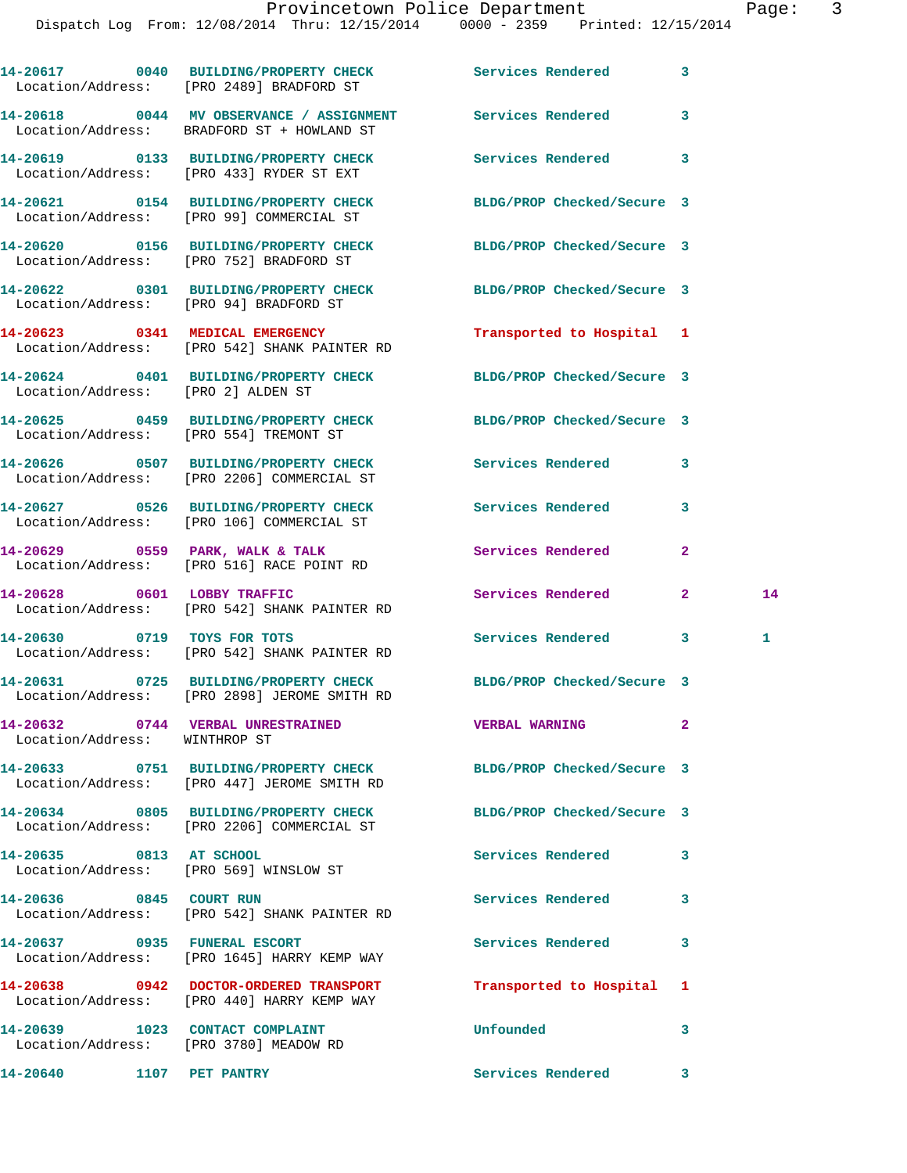|                                 | 14-20617 0040 BUILDING/PROPERTY CHECK Services Rendered 3<br>Location/Address: [PRO 2489] BRADFORD ST            |                            |              |    |
|---------------------------------|------------------------------------------------------------------------------------------------------------------|----------------------------|--------------|----|
|                                 | 14-20618 0044 MV OBSERVANCE / ASSIGNMENT Services Rendered<br>Location/Address: BRADFORD ST + HOWLAND ST         |                            | 3            |    |
|                                 | 14-20619 0133 BUILDING/PROPERTY CHECK<br>Location/Address: [PRO 433] RYDER ST EXT                                | Services Rendered 3        |              |    |
|                                 | 14-20621 0154 BUILDING/PROPERTY CHECK<br>Location/Address: [PRO 99] COMMERCIAL ST                                | BLDG/PROP Checked/Secure 3 |              |    |
|                                 | 14-20620 0156 BUILDING/PROPERTY CHECK<br>Location/Address: [PRO 752] BRADFORD ST                                 | BLDG/PROP Checked/Secure 3 |              |    |
|                                 | 14-20622 0301 BUILDING/PROPERTY CHECK<br>Location/Address: [PRO 94] BRADFORD ST                                  | BLDG/PROP Checked/Secure 3 |              |    |
|                                 | 14-20623 0341 MEDICAL EMERGENCY<br>Location/Address: [PRO 542] SHANK PAINTER RD                                  | Transported to Hospital 1  |              |    |
|                                 | 14-20624 0401 BUILDING/PROPERTY CHECK BLDG/PROP Checked/Secure 3<br>Location/Address: [PRO 2] ALDEN ST           |                            |              |    |
|                                 | 14-20625 0459 BUILDING/PROPERTY CHECK BLDG/PROP Checked/Secure 3<br>Location/Address: [PRO 554] TREMONT ST       |                            |              |    |
|                                 | 14-20626 0507 BUILDING/PROPERTY CHECK Services Rendered 3<br>Location/Address: [PRO 2206] COMMERCIAL ST          |                            |              |    |
|                                 | 14-20627 0526 BUILDING/PROPERTY CHECK<br>Location/Address: [PRO 106] COMMERCIAL ST                               | Services Rendered          | 3            |    |
|                                 | 14-20629 0559 PARK, WALK & TALK<br>Location/Address: [PRO 516] RACE POINT RD                                     | Services Rendered          | $\mathbf{2}$ |    |
|                                 | 14-20628 0601 LOBBY TRAFFIC<br>Location/Address: [PRO 542] SHANK PAINTER RD                                      | Services Rendered          | $\mathbf{2}$ | 14 |
| 14-20630 0719 TOYS FOR TOTS     | Location/Address: [PRO 542] SHANK PAINTER RD                                                                     | Services Rendered 3        |              | 1. |
|                                 | 14-20631 0725 BUILDING/PROPERTY CHECK BLDG/PROP Checked/Secure 3<br>Location/Address: [PRO 2898] JEROME SMITH RD |                            |              |    |
| Location/Address: WINTHROP ST   | 14-20632 0744 VERBAL UNRESTRAINED                                                                                | <b>VERBAL WARNING</b>      | $\mathbf{2}$ |    |
|                                 | 14-20633 0751 BUILDING/PROPERTY CHECK BLDG/PROP Checked/Secure 3<br>Location/Address: [PRO 447] JEROME SMITH RD  |                            |              |    |
|                                 | 14-20634 0805 BUILDING/PROPERTY CHECK<br>Location/Address: [PRO 2206] COMMERCIAL ST                              | BLDG/PROP Checked/Secure 3 |              |    |
|                                 | 14-20635 0813 AT SCHOOL<br>Location/Address: [PRO 569] WINSLOW ST                                                | Services Rendered          | 3            |    |
| 14-20636 0845 COURT RUN         | Location/Address: [PRO 542] SHANK PAINTER RD                                                                     | Services Rendered          | 3            |    |
|                                 | 14-20637 0935 FUNERAL ESCORT<br>Location/Address: [PRO 1645] HARRY KEMP WAY                                      | <b>Services Rendered</b>   | 3            |    |
|                                 | 14-20638 0942 DOCTOR-ORDERED TRANSPORT<br>Location/Address: [PRO 440] HARRY KEMP WAY                             | Transported to Hospital    | 1            |    |
|                                 | 14-20639 1023 CONTACT COMPLAINT<br>Location/Address: [PRO 3780] MEADOW RD                                        | Unfounded                  | 3            |    |
| <b>14-20640 1107 PET PANTRY</b> |                                                                                                                  | Services Rendered 3        |              |    |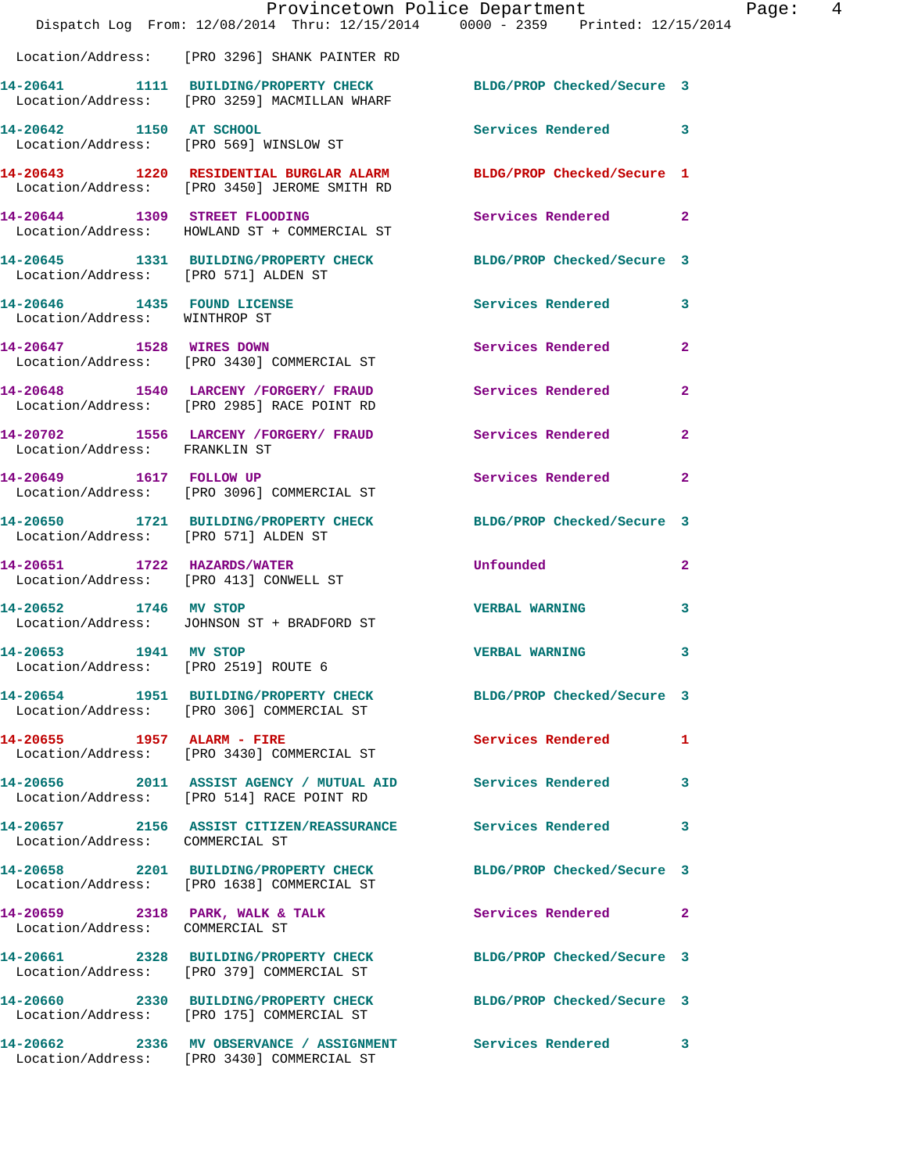|                                                              | Dispatch Log From: 12/08/2014 Thru: 12/15/2014 0000 - 2359 Printed: 12/15/2014                                     | Provincetown Police Department                                                                                                                                                                                                      | Page: 4        |
|--------------------------------------------------------------|--------------------------------------------------------------------------------------------------------------------|-------------------------------------------------------------------------------------------------------------------------------------------------------------------------------------------------------------------------------------|----------------|
|                                                              | Location/Address: [PRO 3296] SHANK PAINTER RD                                                                      |                                                                                                                                                                                                                                     |                |
|                                                              | 14-20641 1111 BUILDING/PROPERTY CHECK BLDG/PROP Checked/Secure 3<br>Location/Address: [PRO 3259] MACMILLAN WHARF   |                                                                                                                                                                                                                                     |                |
|                                                              | 14-20642 1150 AT SCHOOL<br>Location/Address: [PRO 569] WINSLOW ST                                                  | Services Rendered 3                                                                                                                                                                                                                 |                |
|                                                              | 14-20643 1220 RESIDENTIAL BURGLAR ALARM BLDG/PROP Checked/Secure 1<br>Location/Address: [PRO 3450] JEROME SMITH RD |                                                                                                                                                                                                                                     |                |
|                                                              | 14-20644 1309 STREET FLOODING<br>Location/Address: HOWLAND ST + COMMERCIAL ST                                      | Services Rendered 2                                                                                                                                                                                                                 |                |
|                                                              | 14-20645 1331 BUILDING/PROPERTY CHECK BLDG/PROP Checked/Secure 3<br>Location/Address: [PRO 571] ALDEN ST           |                                                                                                                                                                                                                                     |                |
| 14-20646 1435 FOUND LICENSE<br>Location/Address: WINTHROP ST |                                                                                                                    | Services Rendered 3                                                                                                                                                                                                                 |                |
|                                                              | 14-20647 1528 WIRES DOWN<br>Location/Address: [PRO 3430] COMMERCIAL ST                                             | Services Rendered                                                                                                                                                                                                                   | $\overline{2}$ |
|                                                              | 14-20648 1540 LARCENY /FORGERY/ FRAUD Services Rendered<br>Location/Address: [PRO 2985] RACE POINT RD              |                                                                                                                                                                                                                                     | $\mathbf{2}$   |
| Location/Address: FRANKLIN ST                                | 14-20702 1556 LARCENY / FORGERY / FRAUD Services Rendered                                                          |                                                                                                                                                                                                                                     | $\mathbf{2}$   |
|                                                              | 14-20649   1617   FOLLOW UP<br>Location/Address: [PRO 3096] COMMERCIAL ST                                          | Services Rendered 2                                                                                                                                                                                                                 |                |
| Location/Address: [PRO 571] ALDEN ST                         | 14-20650 1721 BUILDING/PROPERTY CHECK BLDG/PROP Checked/Secure 3                                                   |                                                                                                                                                                                                                                     |                |
| 14-20651 1722 HAZARDS/WATER                                  | Location/Address: [PRO 413] CONWELL ST                                                                             | <b>Unfounded</b> and the control of the control of the control of the control of the control of the control of the control of the control of the control of the control of the control of the control of the control of the control | $\mathbf{2}$   |
|                                                              | 14-20652 1746 MV STOP<br>Location/Address: JOHNSON ST + BRADFORD ST                                                | <b>VERBAL WARNING</b>                                                                                                                                                                                                               | 3              |
| 14-20653 1941 MV STOP                                        | Location/Address: [PRO 2519] ROUTE 6                                                                               | VERBAL WARNING                                                                                                                                                                                                                      | 3              |
|                                                              | 14-20654 1951 BUILDING/PROPERTY CHECK BLDG/PROP Checked/Secure 3<br>Location/Address: [PRO 306] COMMERCIAL ST      |                                                                                                                                                                                                                                     |                |
|                                                              | 14-20655 1957 ALARM - FIRE<br>Location/Address: [PRO 3430] COMMERCIAL ST                                           | Services Rendered 1                                                                                                                                                                                                                 |                |
|                                                              | Location/Address: [PRO 514] RACE POINT RD                                                                          | Services Rendered                                                                                                                                                                                                                   | 3              |
| Location/Address: COMMERCIAL ST                              | 14-20657 2156 ASSIST CITIZEN/REASSURANCE Services Rendered 3                                                       |                                                                                                                                                                                                                                     |                |
|                                                              | 14-20658 2201 BUILDING/PROPERTY CHECK BLDG/PROP Checked/Secure 3<br>Location/Address: [PRO 1638] COMMERCIAL ST     |                                                                                                                                                                                                                                     |                |
| Location/Address: COMMERCIAL ST                              | 14-20659 2318 PARK, WALK & TALK                                                                                    | Services Rendered 2                                                                                                                                                                                                                 |                |
|                                                              | 14-20661 2328 BUILDING/PROPERTY CHECK<br>Location/Address: [PRO 379] COMMERCIAL ST                                 | BLDG/PROP Checked/Secure 3                                                                                                                                                                                                          |                |
|                                                              | 14-20660 2330 BUILDING/PROPERTY CHECK BLDG/PROP Checked/Secure 3<br>Location/Address: [PRO 175] COMMERCIAL ST      |                                                                                                                                                                                                                                     |                |
|                                                              | 14-20662 2336 MV OBSERVANCE / ASSIGNMENT Services Rendered 3<br>Location/Address: [PRO 3430] COMMERCIAL ST         |                                                                                                                                                                                                                                     |                |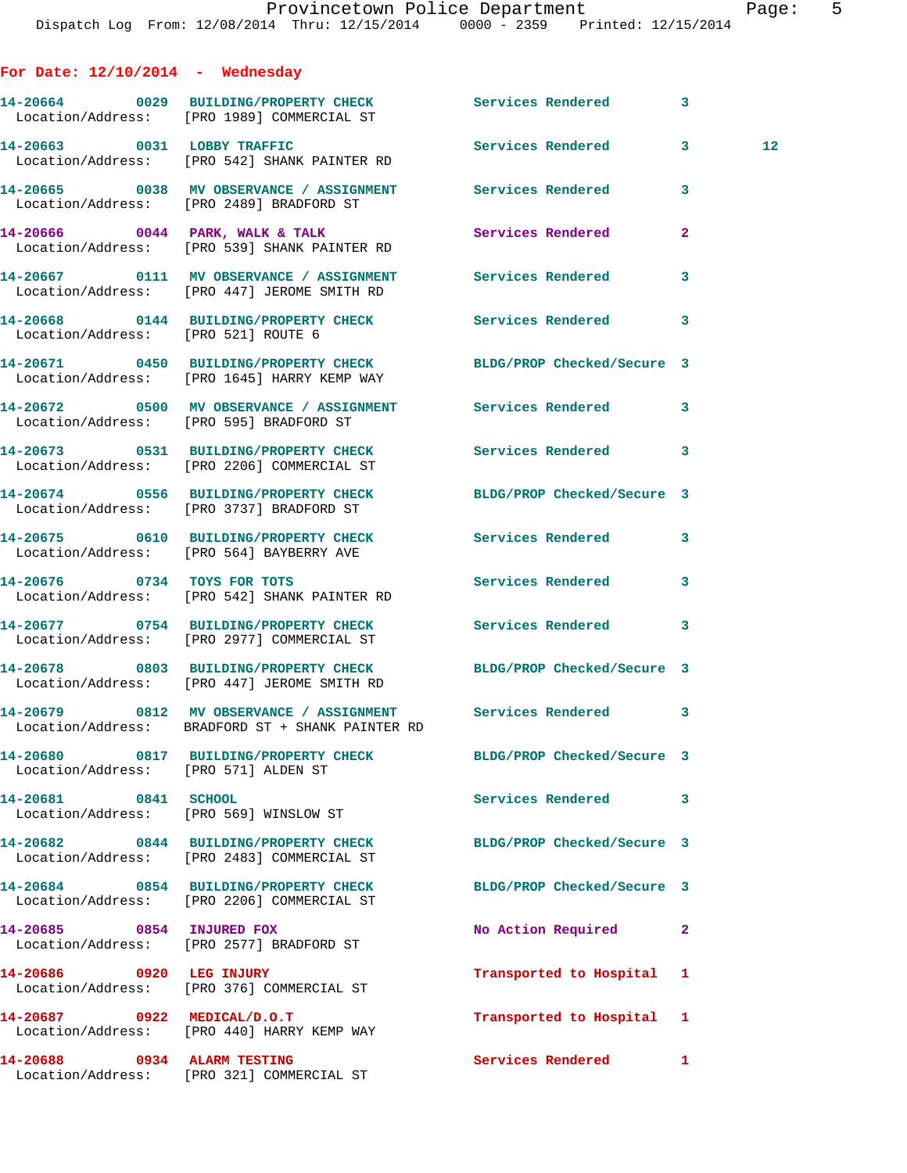**For Date: 12/10/2014 - Wednesday**

|                                      | 14-20664 0029 BUILDING/PROPERTY CHECK Services Rendered 3<br>Location/Address: [PRO 1989] COMMERCIAL ST          |                            |                |    |
|--------------------------------------|------------------------------------------------------------------------------------------------------------------|----------------------------|----------------|----|
|                                      | 14-20663 0031 LOBBY TRAFFIC<br>Location/Address: [PRO 542] SHANK PAINTER RD                                      | Services Rendered 3        |                | 12 |
|                                      | 14-20665 0038 MV OBSERVANCE / ASSIGNMENT Services Rendered<br>Location/Address: [PRO 2489] BRADFORD ST           |                            | 3              |    |
|                                      | 14-20666 0044 PARK, WALK & TALK Services Rendered<br>Location/Address: [PRO 539] SHANK PAINTER RD                |                            | $\overline{2}$ |    |
|                                      | Location/Address: [PRO 447] JEROME SMITH RD                                                                      |                            |                |    |
| Location/Address: [PRO 521] ROUTE 6  | 14-20668 0144 BUILDING/PROPERTY CHECK Services Rendered                                                          |                            | 3              |    |
|                                      | 14-20671 0450 BUILDING/PROPERTY CHECK BLDG/PROP Checked/Secure 3<br>Location/Address: [PRO 1645] HARRY KEMP WAY  |                            |                |    |
|                                      | 14-20672 0500 MV OBSERVANCE / ASSIGNMENT Services Rendered 3<br>Location/Address: [PRO 595] BRADFORD ST          |                            |                |    |
|                                      | 14-20673 0531 BUILDING/PROPERTY CHECK Services Rendered 3<br>Location/Address: [PRO 2206] COMMERCIAL ST          |                            |                |    |
|                                      | 14-20674 0556 BUILDING/PROPERTY CHECK<br>Location/Address: [PRO 3737] BRADFORD ST                                | BLDG/PROP Checked/Secure 3 |                |    |
|                                      | 14-20675   0610   BUILDING/PROPERTY CHECK   Services Rendered   3<br>Location/Address: [PRO 564] BAYBERRY AVE    |                            |                |    |
|                                      | 14-20676 0734 TOYS FOR TOTS<br>Location/Address: [PRO 542] SHANK PAINTER RD                                      | Services Rendered 3        |                |    |
|                                      | 14-20677 0754 BUILDING/PROPERTY CHECK Services Rendered<br>Location/Address: [PRO 2977] COMMERCIAL ST            |                            | 3              |    |
|                                      | 14-20678 0803 BUILDING/PROPERTY CHECK BLDG/PROP Checked/Secure 3<br>Location/Address: [PRO 447] JEROME SMITH RD  |                            |                |    |
|                                      | 14-20679 0812 MV OBSERVANCE / ASSIGNMENT Services Rendered 3<br>Location/Address: BRADFORD ST + SHANK PAINTER RD |                            |                |    |
| Location/Address: [PRO 571] ALDEN ST | 14-20680 0817 BUILDING/PROPERTY CHECK                                                                            | BLDG/PROP Checked/Secure 3 |                |    |
| 14-20681 0841 SCHOOL                 | Location/Address: [PRO 569] WINSLOW ST                                                                           | Services Rendered 3        |                |    |
|                                      | 14-20682 0844 BUILDING/PROPERTY CHECK<br>Location/Address: [PRO 2483] COMMERCIAL ST                              | BLDG/PROP Checked/Secure 3 |                |    |
|                                      | 14-20684 0854 BUILDING/PROPERTY CHECK<br>Location/Address: [PRO 2206] COMMERCIAL ST                              | BLDG/PROP Checked/Secure 3 |                |    |
|                                      | 14-20685 0854 INJURED FOX<br>Location/Address: [PRO 2577] BRADFORD ST                                            | No Action Required         | $\mathbf{2}$   |    |
| 14-20686 0920 LEG INJURY             | Location/Address: [PRO 376] COMMERCIAL ST                                                                        | Transported to Hospital    | 1              |    |
| 14-20687 0922 MEDICAL/D.O.T          | Location/Address: [PRO 440] HARRY KEMP WAY                                                                       | Transported to Hospital 1  |                |    |
| 14-20688 0934 ALARM TESTING          | Location/Address: [PRO 321] COMMERCIAL ST                                                                        | Services Rendered          | 1              |    |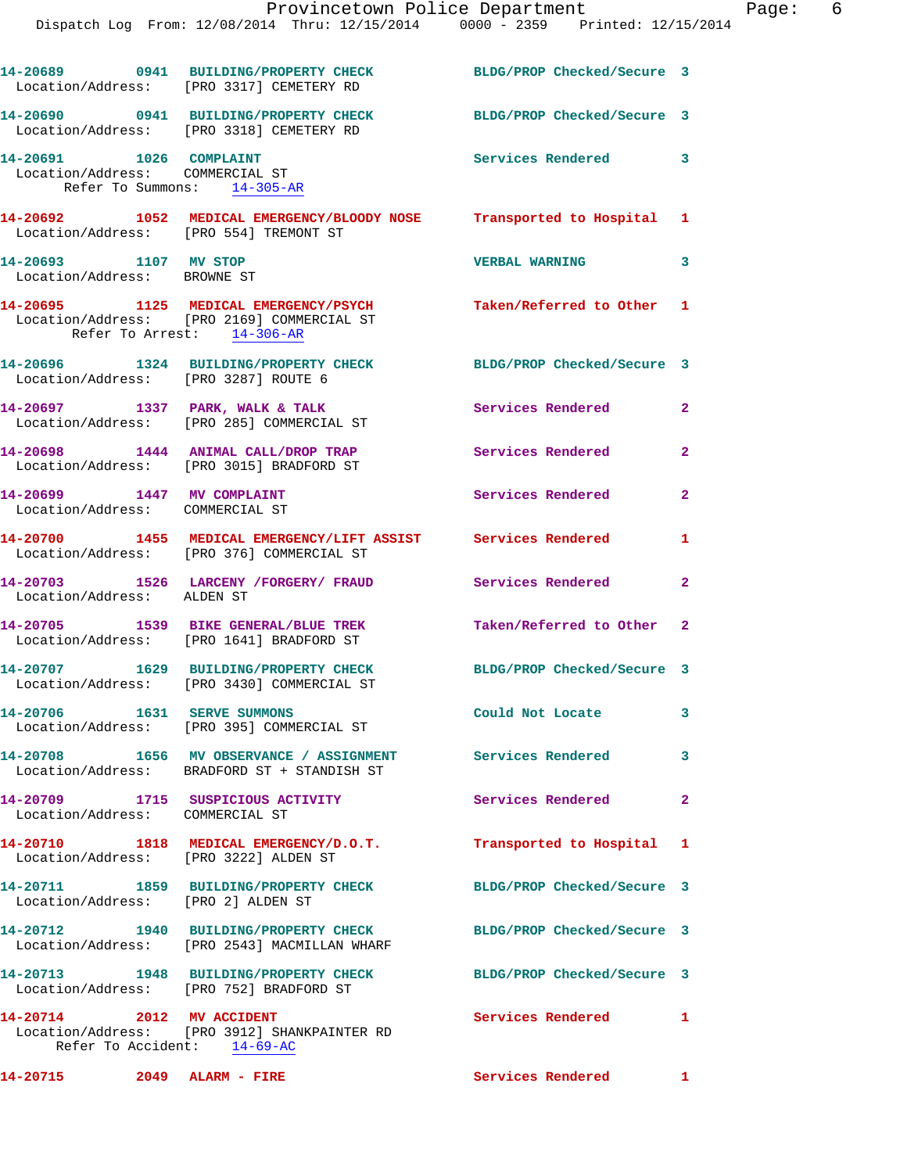|                                                               | 14-20689 0941 BUILDING/PROPERTY CHECK<br>Location/Address: [PRO 3317] CEMETERY RD                           | BLDG/PROP Checked/Secure 3 |                |
|---------------------------------------------------------------|-------------------------------------------------------------------------------------------------------------|----------------------------|----------------|
|                                                               | 14-20690 0941 BUILDING/PROPERTY CHECK<br>Location/Address: [PRO 3318] CEMETERY RD                           | BLDG/PROP Checked/Secure 3 |                |
| 14-20691 1026 COMPLAINT<br>Location/Address: COMMERCIAL ST    | Refer To Summons: 14-305-AR                                                                                 | Services Rendered 3        |                |
| Location/Address: [PRO 554] TREMONT ST                        | 14-20692 1052 MEDICAL EMERGENCY/BLOODY NOSE Transported to Hospital 1                                       |                            |                |
| 14-20693 1107 MV STOP<br>Location/Address: BROWNE ST          |                                                                                                             | VERBAL WARNING 3           |                |
| Refer To Arrest: 14-306-AR                                    | 14-20695 1125 MEDICAL EMERGENCY/PSYCH<br>Location/Address: [PRO 2169] COMMERCIAL ST                         | Taken/Referred to Other 1  |                |
| Location/Address: [PRO 3287] ROUTE 6                          | 14-20696 1324 BUILDING/PROPERTY CHECK                                                                       | BLDG/PROP Checked/Secure 3 |                |
|                                                               | 14-20697 1337 PARK, WALK & TALK<br>Location/Address: [PRO 285] COMMERCIAL ST                                | Services Rendered          | $\overline{a}$ |
|                                                               | 14-20698 1444 ANIMAL CALL/DROP TRAP<br>Location/Address: [PRO 3015] BRADFORD ST                             | Services Rendered          | $\mathbf{2}$   |
| 14-20699 1447 MV COMPLAINT<br>Location/Address: COMMERCIAL ST |                                                                                                             | Services Rendered          | $\overline{a}$ |
|                                                               | 14-20700 1455 MEDICAL EMERGENCY/LIFT ASSIST Services Rendered<br>Location/Address: [PRO 376] COMMERCIAL ST  |                            | 1              |
| Location/Address: ALDEN ST                                    | 14-20703 1526 LARCENY /FORGERY/ FRAUD Services Rendered                                                     |                            | $\overline{2}$ |
|                                                               | 14-20705 1539 BIKE GENERAL/BLUE TREK<br>Location/Address: [PRO 1641] BRADFORD ST                            | Taken/Referred to Other 2  |                |
|                                                               | 14-20707 1629 BUILDING/PROPERTY CHECK<br>Location/Address: [PRO 3430] COMMERCIAL ST                         | BLDG/PROP Checked/Secure 3 |                |
| 14-20706 1631 SERVE SUMMONS                                   | Location/Address: [PRO 395] COMMERCIAL ST                                                                   | Could Not Locate           | 3              |
|                                                               | 14-20708 1656 MV OBSERVANCE / ASSIGNMENT Services Rendered<br>Location/Address: BRADFORD ST + STANDISH ST   |                            | $\mathbf{3}$   |
| Location/Address: COMMERCIAL ST                               | 14-20709 1715 SUSPICIOUS ACTIVITY                                                                           | Services Rendered          | $\overline{2}$ |
| Location/Address: [PRO 3222] ALDEN ST                         | 14-20710 1818 MEDICAL EMERGENCY/D.O.T.                                                                      | Transported to Hospital 1  |                |
| Location/Address: [PRO 2] ALDEN ST                            | 14-20711 1859 BUILDING/PROPERTY CHECK                                                                       | BLDG/PROP Checked/Secure 3 |                |
|                                                               | 14-20712 1940 BUILDING/PROPERTY CHECK<br>Location/Address: [PRO 2543] MACMILLAN WHARF                       | BLDG/PROP Checked/Secure 3 |                |
|                                                               | 14-20713 1948 BUILDING/PROPERTY CHECK BLDG/PROP Checked/Secure 3<br>Location/Address: [PRO 752] BRADFORD ST |                            |                |
| 14-20714 2012 MV ACCIDENT<br>Refer To Accident: 14-69-AC      | Location/Address: [PRO 3912] SHANKPAINTER RD                                                                | Services Rendered          | 1.             |
| 14-20715 2049 ALARM - FIRE                                    |                                                                                                             | Services Rendered 1        |                |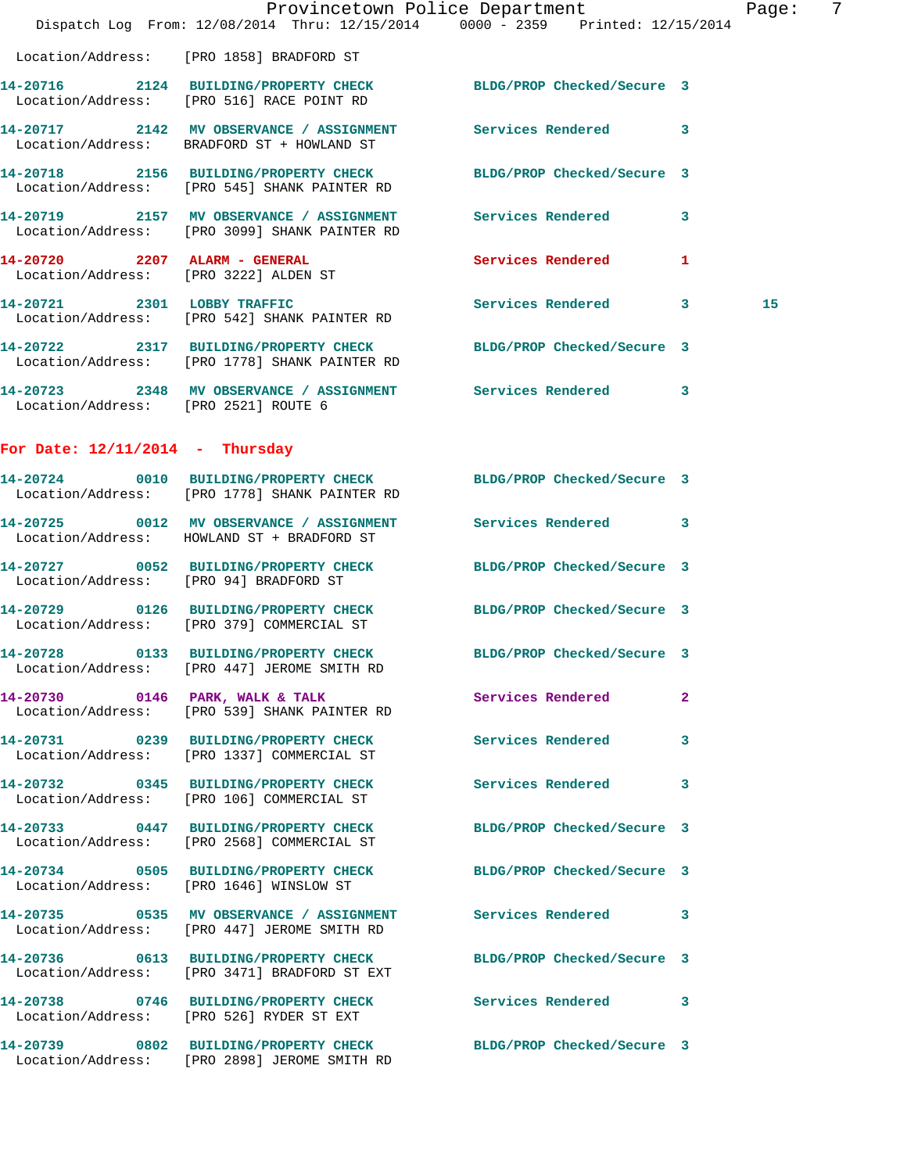|                                        | Dispatch Log From: 12/08/2014 Thru: 12/15/2014 0000 - 2359 Printed: 12/15/2014                                    | Provincetown Police Department |                | Page∶ | -7 |
|----------------------------------------|-------------------------------------------------------------------------------------------------------------------|--------------------------------|----------------|-------|----|
|                                        | Location/Address: [PRO 1858] BRADFORD ST                                                                          |                                |                |       |    |
|                                        | 14-20716 2124 BUILDING/PROPERTY CHECK BLDG/PROP Checked/Secure 3<br>Location/Address: [PRO 516] RACE POINT RD     |                                |                |       |    |
|                                        | 14-20717 2142 MV OBSERVANCE / ASSIGNMENT Services Rendered 3<br>Location/Address: BRADFORD ST + HOWLAND ST        |                                |                |       |    |
|                                        | 14-20718 2156 BUILDING/PROPERTY CHECK BLDG/PROP Checked/Secure 3<br>Location/Address: [PRO 545] SHANK PAINTER RD  |                                |                |       |    |
|                                        | 14-20719 2157 MV OBSERVANCE / ASSIGNMENT Services Rendered 3<br>Location/Address: [PRO 3099] SHANK PAINTER RD     |                                |                |       |    |
| 14-20720 2207 ALARM - GENERAL          | Location/Address: [PRO 3222] ALDEN ST                                                                             | Services Rendered 1            |                |       |    |
|                                        | 14-20721 2301 LOBBY TRAFFIC<br>Location/Address: [PRO 542] SHANK PAINTER RD                                       | Services Rendered 3            |                | 15    |    |
|                                        | 14-20722 2317 BUILDING/PROPERTY CHECK BLDG/PROP Checked/Secure 3<br>Location/Address: [PRO 1778] SHANK PAINTER RD |                                |                |       |    |
| Location/Address: [PRO 2521] ROUTE 6   | 14-20723 2348 MV OBSERVANCE / ASSIGNMENT Services Rendered 3                                                      |                                |                |       |    |
| For Date: $12/11/2014$ - Thursday      |                                                                                                                   |                                |                |       |    |
|                                        | 14-20724 0010 BUILDING/PROPERTY CHECK BLDG/PROP Checked/Secure 3<br>Location/Address: [PRO 1778] SHANK PAINTER RD |                                |                |       |    |
|                                        | 14-20725 0012 MV OBSERVANCE / ASSIGNMENT Services Rendered 3<br>Location/Address: HOWLAND ST + BRADFORD ST        |                                |                |       |    |
| Location/Address: [PRO 94] BRADFORD ST | 14-20727 0052 BUILDING/PROPERTY CHECK BLDG/PROP Checked/Secure 3                                                  |                                |                |       |    |
|                                        | 14-20729 0126 BUILDING/PROPERTY CHECK BLDG/PROP Checked/Secure 3<br>Location/Address: [PRO 379] COMMERCIAL ST     |                                |                |       |    |
|                                        | 14-20728 0133 BUILDING/PROPERTY CHECK BLDG/PROP Checked/Secure 3<br>Location/Address: [PRO 447] JEROME SMITH RD   |                                |                |       |    |
|                                        | 14-20730 0146 PARK, WALK & TALK Services Rendered<br>Location/Address: [PRO 539] SHANK PAINTER RD                 |                                | $\overline{2}$ |       |    |
|                                        | 14-20731 0239 BUILDING/PROPERTY CHECK Services Rendered<br>Location/Address: [PRO 1337] COMMERCIAL ST             |                                | 3              |       |    |
|                                        | 14-20732 0345 BUILDING/PROPERTY CHECK Services Rendered 3<br>Location/Address: [PRO 106] COMMERCIAL ST            |                                |                |       |    |
|                                        | 14-20733 0447 BUILDING/PROPERTY CHECK<br>Location/Address: [PRO 2568] COMMERCIAL ST                               | BLDG/PROP Checked/Secure 3     |                |       |    |
|                                        | 14-20734 0505 BUILDING/PROPERTY CHECK BLDG/PROP Checked/Secure 3<br>Location/Address: [PRO 1646] WINSLOW ST       |                                |                |       |    |
|                                        | 14-20735 0535 MV OBSERVANCE / ASSIGNMENT Services Rendered 3<br>Location/Address: [PRO 447] JEROME SMITH RD       |                                |                |       |    |
|                                        | 14-20736 0613 BUILDING/PROPERTY CHECK<br>Location/Address: [PRO 3471] BRADFORD ST EXT                             | BLDG/PROP Checked/Secure 3     |                |       |    |
|                                        | 14-20738 0746 BUILDING/PROPERTY CHECK Services Rendered 3<br>Location/Address: [PRO 526] RYDER ST EXT             |                                |                |       |    |
|                                        | 14-20739 0802 BUILDING/PROPERTY CHECK<br>Location/Address: [PRO 2898] JEROME SMITH RD                             | BLDG/PROP Checked/Secure 3     |                |       |    |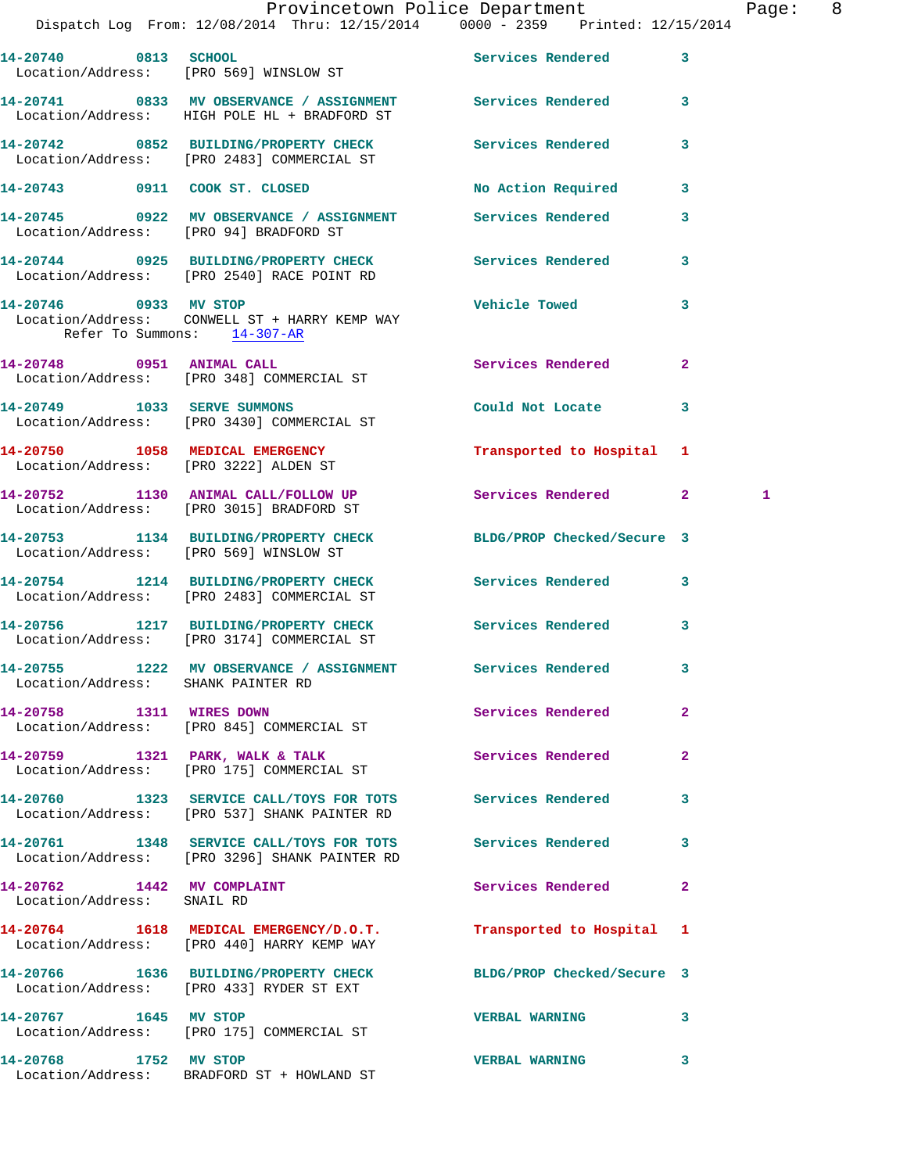|                                                          | Provincetown Police Department Page: 8<br>Dispatch Log From: 12/08/2014 Thru: 12/15/2014 0000 - 2359 Printed: 12/15/2014 |                            |              |
|----------------------------------------------------------|--------------------------------------------------------------------------------------------------------------------------|----------------------------|--------------|
|                                                          | 14-20740 0813 SCHOOL                                                                                                     | Services Rendered 3        |              |
|                                                          | Location/Address: [PRO 569] WINSLOW ST                                                                                   |                            |              |
|                                                          | 14-20741 0833 MV OBSERVANCE / ASSIGNMENT Services Rendered 3<br>Location/Address: HIGH POLE HL + BRADFORD ST             |                            |              |
|                                                          | 14-20742 0852 BUILDING/PROPERTY CHECK Services Rendered<br>Location/Address: [PRO 2483] COMMERCIAL ST                    |                            | 3            |
|                                                          | 14-20743 0911 COOK ST. CLOSED                                                                                            | No Action Required 3       |              |
| Location/Address: [PRO 94] BRADFORD ST                   | 14-20745 0922 MV OBSERVANCE / ASSIGNMENT Services Rendered                                                               |                            | 3            |
|                                                          | 14-20744 0925 BUILDING/PROPERTY CHECK Services Rendered 3<br>Location/Address: [PRO 2540] RACE POINT RD                  |                            |              |
| Refer To Summons: 14-307-AR                              | 14-20746 0933 MV STOP<br>Location/Address: CONWELL ST + HARRY KEMP WAY                                                   | <b>Vehicle Towed</b>       | 3            |
|                                                          | 14-20748 0951 ANIMAL CALL<br>Location/Address: [PRO 348] COMMERCIAL ST                                                   | <b>Services Rendered</b>   | $\mathbf{2}$ |
|                                                          | 14-20749 1033 SERVE SUMMONS<br>Location/Address: [PRO 3430] COMMERCIAL ST                                                | Could Not Locate           | 3            |
|                                                          | 14-20750 1058 MEDICAL EMERGENCY<br>Location/Address: [PRO 3222] ALDEN ST                                                 | Transported to Hospital 1  |              |
|                                                          | 14-20752 1130 ANIMAL CALL/FOLLOW UP<br>Location/Address: [PRO 3015] BRADFORD ST                                          | Services Rendered 2        | $\mathbf{1}$ |
|                                                          | 14-20753 1134 BUILDING/PROPERTY CHECK<br>Location/Address: [PRO 569] WINSLOW ST                                          | BLDG/PROP Checked/Secure 3 |              |
|                                                          | 14-20754 1214 BUILDING/PROPERTY CHECK Services Rendered 3<br>Location/Address: [PRO 2483] COMMERCIAL ST                  |                            |              |
|                                                          | 14-20756 1217 BUILDING/PROPERTY CHECK Services Rendered<br>Location/Address: [PRO 3174] COMMERCIAL ST                    |                            | 3            |
| Location/Address: SHANK PAINTER RD                       | 14-20755 1222 MV OBSERVANCE / ASSIGNMENT                                                                                 | Services Rendered          | 3            |
| 14-20758 1311 WIRES DOWN                                 | Location/Address: [PRO 845] COMMERCIAL ST                                                                                | Services Rendered          | $\mathbf{2}$ |
|                                                          | 14-20759 1321 PARK, WALK & TALK<br>Location/Address: [PRO 175] COMMERCIAL ST                                             | Services Rendered          | $\mathbf{2}$ |
|                                                          | 14-20760 1323 SERVICE CALL/TOYS FOR TOTS Services Rendered<br>Location/Address: [PRO 537] SHANK PAINTER RD               |                            | 3            |
|                                                          | 14-20761 1348 SERVICE CALL/TOYS FOR TOTS Services Rendered<br>Location/Address: [PRO 3296] SHANK PAINTER RD              |                            | 3            |
| 14-20762 1442 MV COMPLAINT<br>Location/Address: SNAIL RD |                                                                                                                          | Services Rendered          | $\mathbf{2}$ |
|                                                          | 14-20764 1618 MEDICAL EMERGENCY/D.O.T. Transported to Hospital 1<br>Location/Address: [PRO 440] HARRY KEMP WAY           |                            |              |
|                                                          | 14-20766 1636 BUILDING/PROPERTY CHECK BLDG/PROP Checked/Secure 3<br>Location/Address: [PRO 433] RYDER ST EXT             |                            |              |
| 14-20767 1645 MV STOP                                    | Location/Address: [PRO 175] COMMERCIAL ST                                                                                | VERBAL WARNING 3           |              |
| 14-20768 1752 MV STOP                                    |                                                                                                                          | <b>VERBAL WARNING</b>      | $\mathbf{3}$ |

Location/Address: BRADFORD ST + HOWLAND ST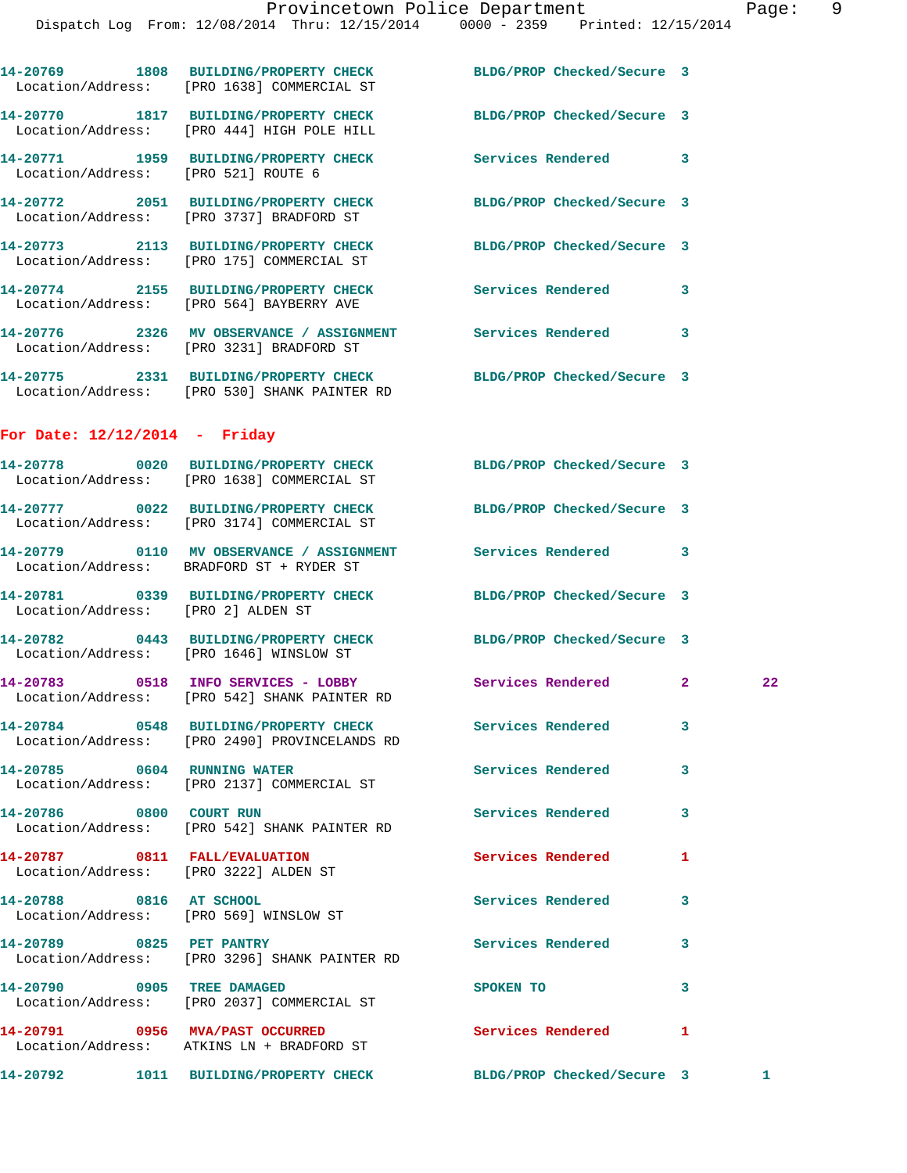Dispatch Log From: 12/08/2014 Thru: 12/15/2014 0000 - 2359 Printed: 12/15/2014 **14-20769 1808 BUILDING/PROPERTY CHECK BLDG/PROP Checked/Secure 3**  Location/Address: [PRO 1638] COMMERCIAL ST **14-20770 1817 BUILDING/PROPERTY CHECK BLDG/PROP Checked/Secure 3**  Location/Address: [PRO 444] HIGH POLE HILL **14-20771 1959 BUILDING/PROPERTY CHECK Services Rendered 3**  Location/Address: [PRO 521] ROUTE 6 **14-20772 2051 BUILDING/PROPERTY CHECK BLDG/PROP Checked/Secure 3**  Location/Address: [PRO 3737] BRADFORD ST **14-20773 2113 BUILDING/PROPERTY CHECK BLDG/PROP Checked/Secure 3**  Location/Address: [PRO 175] COMMERCIAL ST **14-20774 2155 BUILDING/PROPERTY CHECK Services Rendered 3**  Location/Address: [PRO 564] BAYBERRY AVE **14-20776 2326 MV OBSERVANCE / ASSIGNMENT Services Rendered 3**  Location/Address: [PRO 3231] BRADFORD ST **14-20775 2331 BUILDING/PROPERTY CHECK BLDG/PROP Checked/Secure 3**  Location/Address: [PRO 530] SHANK PAINTER RD **For Date: 12/12/2014 - Friday 14-20778 0020 BUILDING/PROPERTY CHECK BLDG/PROP Checked/Secure 3**  Location/Address: [PRO 1638] COMMERCIAL ST **14-20777 0022 BUILDING/PROPERTY CHECK BLDG/PROP Checked/Secure 3**  Location/Address: [PRO 3174] COMMERCIAL ST **14-20779 0110 MV OBSERVANCE / ASSIGNMENT Services Rendered 3**  Location/Address: BRADFORD ST + RYDER ST **14-20781 0339 BUILDING/PROPERTY CHECK BLDG/PROP Checked/Secure 3**  Location/Address: [PRO 2] ALDEN ST **14-20782 0443 BUILDING/PROPERTY CHECK BLDG/PROP Checked/Secure 3** 

**14-20787 0811 FALL/EVALUATION Services Rendered 1** 

**14-20788 0816 AT SCHOOL Services Rendered 3**  Location/Address: [PRO 569] WINSLOW ST

Location/Address: [PRO 1646] WINSLOW ST

**14-20783 0518 INFO SERVICES - LOBBY Services Rendered 2 22**  Location/Address: [PRO 542] SHANK PAINTER RD

**14-20784 0548 BUILDING/PROPERTY CHECK Services Rendered 3**  Location/Address: [PRO 2490] PROVINCELANDS RD

**14-20785 0604 RUNNING WATER Services Rendered 3**  Location/Address: [PRO 2137] COMMERCIAL ST

14-20786 0800 COURT RUN **Services Rendered** 3 Location/Address: [PRO 542] SHANK PAINTER RD

Location/Address: [PRO 3222] ALDEN ST

**14-20789 0825 PET PANTRY Services Rendered 3**  Location/Address: [PRO 3296] SHANK PAINTER RD

**14-20790 0905 TREE DAMAGED SPOKEN TO 3**  Location/Address: [PRO 2037] COMMERCIAL ST

**14-20791 0956 MVA/PAST OCCURRED Services Rendered 1**  Location/Address: ATKINS LN + BRADFORD ST

**14-20792 1011 BUILDING/PROPERTY CHECK BLDG/PROP Checked/Secure 3 1**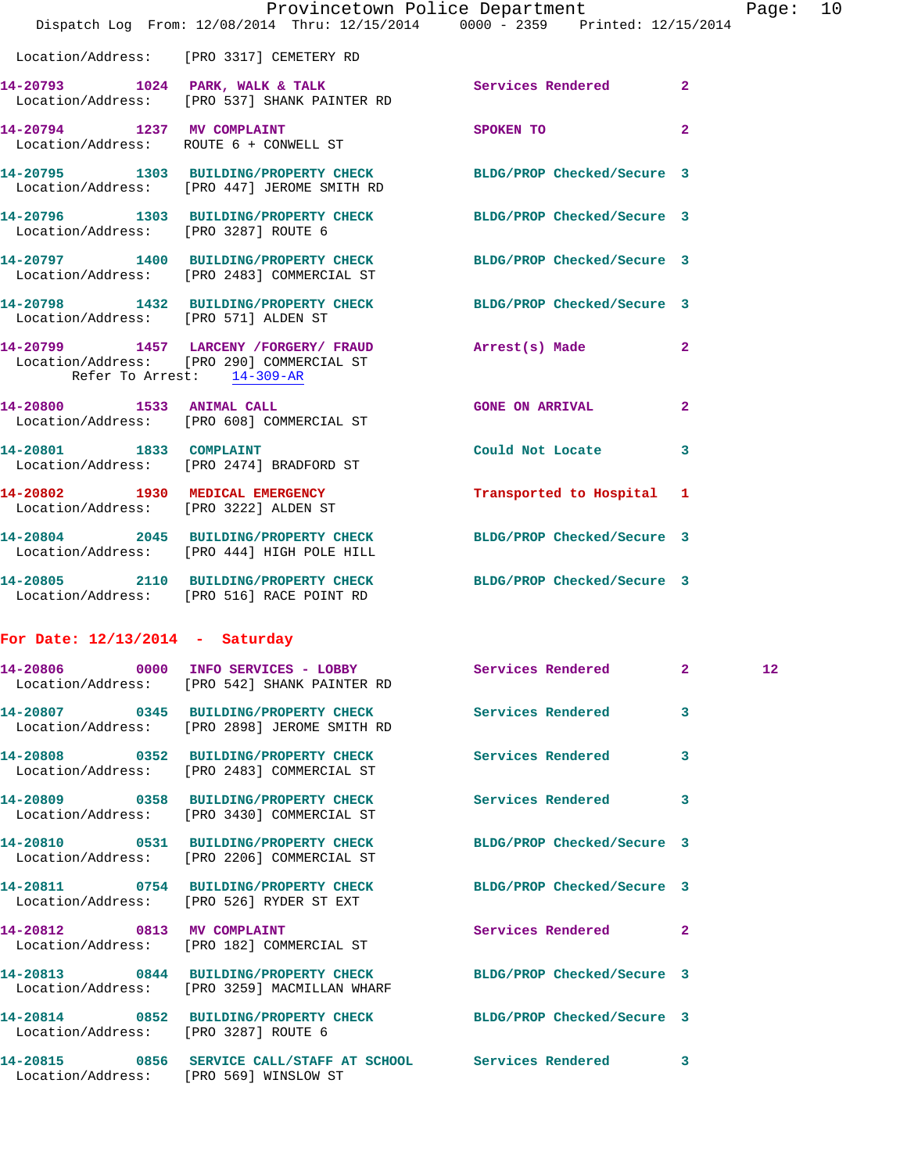|                                      | Provincetown Police Department<br>Dispatch Log From: 12/08/2014 Thru: 12/15/2014 0000 - 2359 Printed: 12/15/2014                     |                                   |                | Page: 10 |  |
|--------------------------------------|--------------------------------------------------------------------------------------------------------------------------------------|-----------------------------------|----------------|----------|--|
|                                      | Location/Address: [PRO 3317] CEMETERY RD                                                                                             |                                   |                |          |  |
|                                      | 14-20793 1024 PARK, WALK & TALK 1999 Services Rendered 2<br>Location/Address: [PRO 537] SHANK PAINTER RD                             |                                   |                |          |  |
|                                      | 14-20794 1237 MV COMPLAINT<br>Location/Address: ROUTE 6 + CONWELL ST                                                                 | SPOKEN TO AND TO A REAL PROPERTY. | $\overline{2}$ |          |  |
|                                      | 14-20795 1303 BUILDING/PROPERTY CHECK BLDG/PROP Checked/Secure 3<br>Location/Address: [PRO 447] JEROME SMITH RD                      |                                   |                |          |  |
| Location/Address: [PRO 3287] ROUTE 6 | 14-20796 1303 BUILDING/PROPERTY CHECK BLDG/PROP Checked/Secure 3                                                                     |                                   |                |          |  |
|                                      | 14-20797 1400 BUILDING/PROPERTY CHECK BLDG/PROP Checked/Secure 3<br>Location/Address: [PRO 2483] COMMERCIAL ST                       |                                   |                |          |  |
| Location/Address: [PRO 571] ALDEN ST | 14-20798 1432 BUILDING/PROPERTY CHECK BLDG/PROP Checked/Secure 3                                                                     |                                   |                |          |  |
|                                      | 14-20799 1457 LARCENY / FORGERY / FRAUD Arrest (s) Made 2<br>Location/Address: [PRO 290] COMMERCIAL ST<br>Refer To Arrest: 14-309-AR |                                   |                |          |  |
|                                      | 14-20800 1533 ANIMAL CALL<br>Location/Address: [PRO 608] COMMERCIAL ST                                                               | <b>GONE ON ARRIVAL</b>            | $\overline{2}$ |          |  |
| 14-20801 1833 COMPLAINT              | Location/Address: [PRO 2474] BRADFORD ST                                                                                             | Could Not Locate 3                |                |          |  |
|                                      | 14-20802 1930 MEDICAL EMERGENCY<br>Location/Address: [PRO 3222] ALDEN ST                                                             | Transported to Hospital 1         |                |          |  |
|                                      | 14-20804 2045 BUILDING/PROPERTY CHECK<br>Location/Address: [PRO 444] HIGH POLE HILL                                                  | BLDG/PROP Checked/Secure 3        |                |          |  |
|                                      | 14-20805 2110 BUILDING/PROPERTY CHECK BLDG/PROP Checked/Secure 3<br>Location/Address: [PRO 516] RACE POINT RD                        |                                   |                |          |  |
| For Date: $12/13/2014$ - Saturday    |                                                                                                                                      |                                   |                |          |  |
|                                      | Location/Address: [PRO 542] SHANK PAINTER RD                                                                                         | Services Rendered                 | $\mathbf{2}$   | 12       |  |
|                                      | 14-20807 0345 BUILDING/PROPERTY CHECK<br>Location/Address: [PRO 2898] JEROME SMITH RD                                                | <b>Services Rendered</b>          | 3              |          |  |
|                                      | 14-20808 0352 BUILDING/PROPERTY CHECK<br>Location/Address: [PRO 2483] COMMERCIAL ST                                                  | <b>Services Rendered</b>          | 3              |          |  |
|                                      | 14-20809 0358 BUILDING/PROPERTY CHECK<br>Location/Address: [PRO 3430] COMMERCIAL ST                                                  | Services Rendered                 | 3              |          |  |
|                                      | 14-20810 0531 BUILDING/PROPERTY CHECK<br>Location/Address: [PRO 2206] COMMERCIAL ST                                                  | BLDG/PROP Checked/Secure 3        |                |          |  |
|                                      | 14-20811 0754 BUILDING/PROPERTY CHECK BLDG/PROP Checked/Secure 3<br>Location/Address: [PRO 526] RYDER ST EXT                         |                                   |                |          |  |
|                                      | 14-20812 0813 MV COMPLAINT<br>Location/Address: [PRO 182] COMMERCIAL ST                                                              | Services Rendered                 | $\mathbf{2}$   |          |  |
|                                      | 14-20813 0844 BUILDING/PROPERTY CHECK BLDG/PROP Checked/Secure 3<br>Location/Address: [PRO 3259] MACMILLAN WHARF                     |                                   |                |          |  |
|                                      | 14-20814 0852 BUILDING/PROPERTY CHECK BLDG/PROP Checked/Secure 3                                                                     |                                   |                |          |  |

Location/Address: [PRO 3287] ROUTE 6

Location/Address: [PRO 569] WINSLOW ST

**14-20815 0856 SERVICE CALL/STAFF AT SCHOOL Services Rendered 3**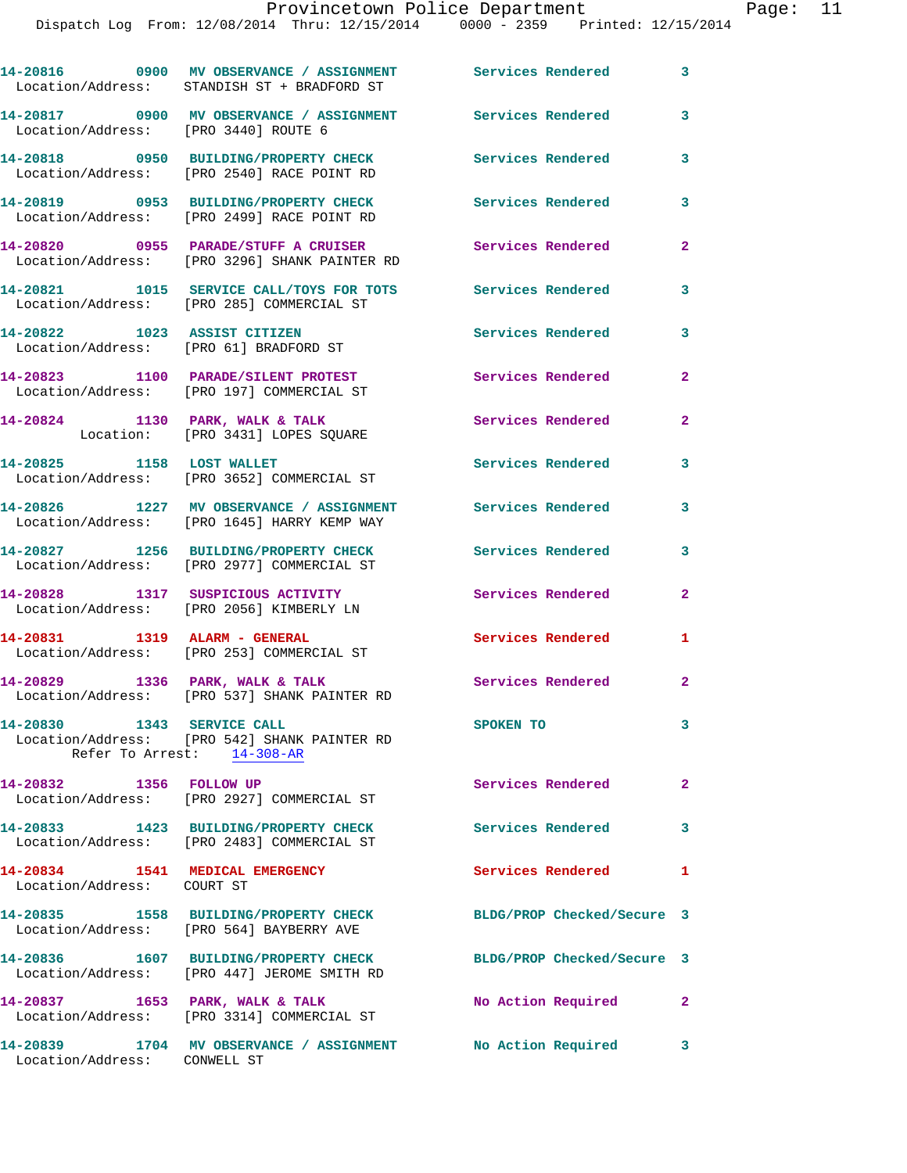|                                                               | 14-20816 0900 MV OBSERVANCE / ASSIGNMENT Services Rendered 3<br>Location/Address: STANDISH ST + BRADFORD ST |                            |                |
|---------------------------------------------------------------|-------------------------------------------------------------------------------------------------------------|----------------------------|----------------|
| Location/Address: [PRO 3440] ROUTE 6                          | 14-20817 0900 MV OBSERVANCE / ASSIGNMENT Services Rendered                                                  |                            | 3              |
|                                                               | 14-20818 0950 BUILDING/PROPERTY CHECK Services Rendered<br>Location/Address: [PRO 2540] RACE POINT RD       |                            | 3              |
|                                                               | 14-20819 0953 BUILDING/PROPERTY CHECK<br>Location/Address: [PRO 2499] RACE POINT RD                         | <b>Services Rendered</b>   | 3              |
|                                                               | 14-20820 0955 PARADE/STUFF A CRUISER<br>Location/Address: [PRO 3296] SHANK PAINTER RD                       | Services Rendered          | $\mathbf{2}$   |
|                                                               | 14-20821 1015 SERVICE CALL/TOYS FOR TOTS<br>Location/Address: [PRO 285] COMMERCIAL ST                       | Services Rendered          | 3              |
| 14-20822 1023 ASSIST CITIZEN                                  | Location/Address: [PRO 61] BRADFORD ST                                                                      | <b>Services Rendered</b>   | 3              |
|                                                               | 14-20823 1100 PARADE/SILENT PROTEST<br>Location/Address: [PRO 197] COMMERCIAL ST                            | <b>Services Rendered</b>   | $\overline{a}$ |
|                                                               | 14-20824 1130 PARK, WALK & TALK<br>Location: [PRO 3431] LOPES SQUARE                                        | Services Rendered          | $\overline{a}$ |
| 14-20825 1158 LOST WALLET                                     | Location/Address: [PRO 3652] COMMERCIAL ST                                                                  | Services Rendered          | 3              |
|                                                               | 14-20826 1227 MV OBSERVANCE / ASSIGNMENT<br>Location/Address: [PRO 1645] HARRY KEMP WAY                     | Services Rendered          | 3              |
|                                                               | 14-20827 1256 BUILDING/PROPERTY CHECK<br>Location/Address: [PRO 2977] COMMERCIAL ST                         | Services Rendered          | 3              |
|                                                               | 14-20828 1317 SUSPICIOUS ACTIVITY<br>Location/Address: [PRO 2056] KIMBERLY LN                               | <b>Services Rendered</b>   | $\mathbf{2}$   |
| 14-20831 1319 ALARM - GENERAL                                 | Location/Address: [PRO 253] COMMERCIAL ST                                                                   | Services Rendered          | 1              |
|                                                               | 14-20829 1336 PARK, WALK & TALK<br>Location/Address: [PRO 537] SHANK PAINTER RD                             | <b>Services Rendered</b>   | $\mathbf{2}$   |
| 14-20830 1343 SERVICE CALL                                    | Location/Address: [PRO 542] SHANK PAINTER RD<br>Refer To Arrest: 14-308-AR                                  | SPOKEN TO                  | 3              |
| 14-20832 1356 FOLLOW UP                                       | Location/Address: [PRO 2927] COMMERCIAL ST                                                                  | Services Rendered          | $\mathbf{2}$   |
|                                                               | 14-20833 1423 BUILDING/PROPERTY CHECK<br>Location/Address: [PRO 2483] COMMERCIAL ST                         | Services Rendered          | $\mathbf{3}$   |
| 14-20834 1541 MEDICAL EMERGENCY<br>Location/Address: COURT ST |                                                                                                             | <b>Services Rendered</b>   | 1              |
|                                                               | 14-20835 1558 BUILDING/PROPERTY CHECK<br>Location/Address: [PRO 564] BAYBERRY AVE                           | BLDG/PROP Checked/Secure 3 |                |
|                                                               | 14-20836 1607 BUILDING/PROPERTY CHECK<br>Location/Address: [PRO 447] JEROME SMITH RD                        | BLDG/PROP Checked/Secure 3 |                |
| 14-20837 1653 PARK, WALK & TALK                               | Location/Address: [PRO 3314] COMMERCIAL ST                                                                  | No Action Required         | $\mathbf{2}$   |
|                                                               | 14-20839 1704 MV OBSERVANCE / ASSIGNMENT No Action Required                                                 |                            | 3              |

Location/Address: CONWELL ST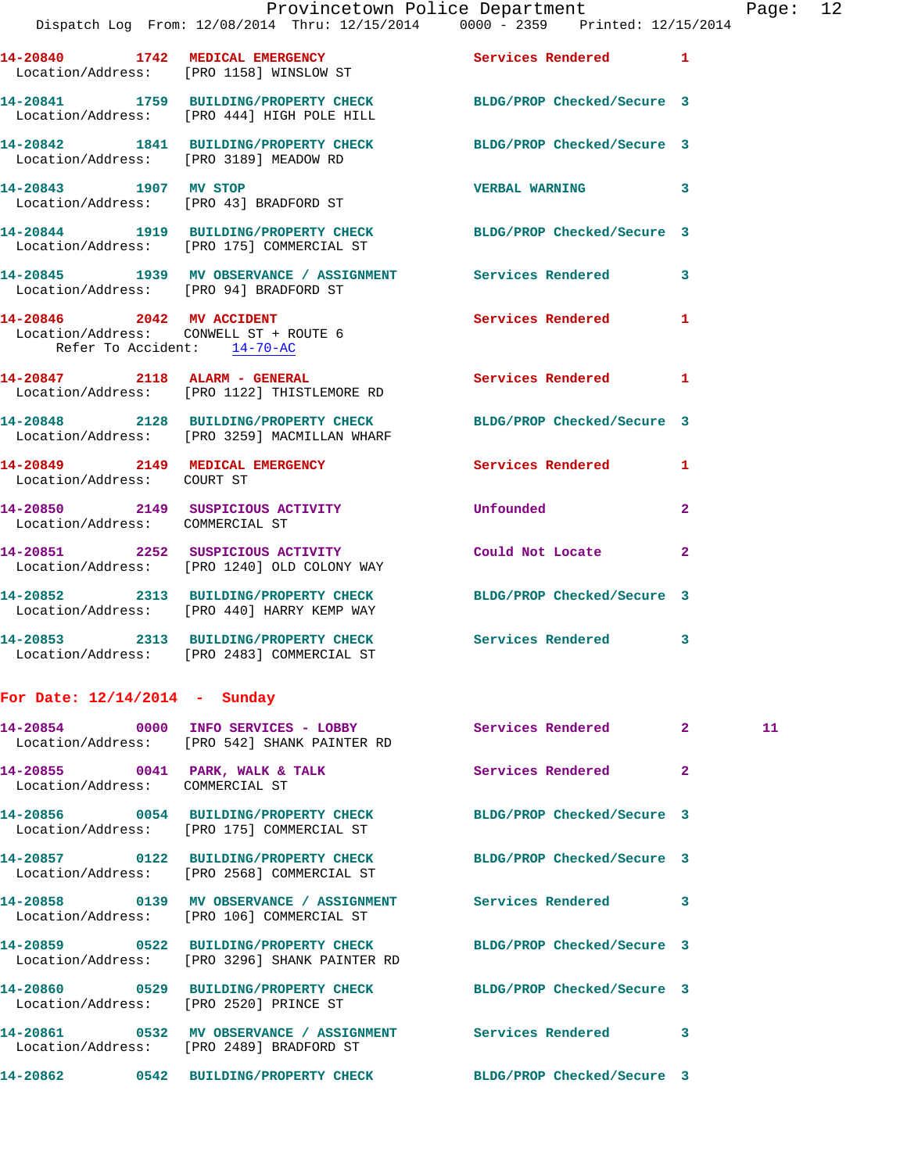|                                        |                                                                                                                  | Provincetown Police Department |              | Page: 12 |  |
|----------------------------------------|------------------------------------------------------------------------------------------------------------------|--------------------------------|--------------|----------|--|
|                                        | Dispatch Log From: 12/08/2014 Thru: 12/15/2014 0000 - 2359 Printed: 12/15/2014                                   |                                |              |          |  |
|                                        | 14-20840 1742 MEDICAL EMERGENCY Services Rendered 1<br>Location/Address: [PRO 1158] WINSLOW ST                   |                                |              |          |  |
|                                        | 14-20841 1759 BUILDING/PROPERTY CHECK BLDG/PROP Checked/Secure 3<br>Location/Address: [PRO 444] HIGH POLE HILL   |                                |              |          |  |
| Location/Address: [PRO 3189] MEADOW RD | 14-20842 1841 BUILDING/PROPERTY CHECK BLDG/PROP Checked/Secure 3                                                 |                                |              |          |  |
|                                        | 14-20843 1907 MV STOP<br>Location/Address: [PRO 43] BRADFORD ST                                                  | VERBAL WARNING 3               |              |          |  |
|                                        | 14-20844 1919 BUILDING/PROPERTY CHECK BLDG/PROP Checked/Secure 3<br>Location/Address: [PRO 175] COMMERCIAL ST    |                                |              |          |  |
|                                        | 14-20845 1939 MV OBSERVANCE / ASSIGNMENT Services Rendered 3<br>Location/Address: [PRO 94] BRADFORD ST           |                                |              |          |  |
| Refer To Accident: 14-70-AC            | 14-20846 2042 MV ACCIDENT<br>Location/Address: CONWELL ST + ROUTE 6                                              | Services Rendered 1            |              |          |  |
|                                        | 14-20847 2118 ALARM - GENERAL<br>Location/Address: [PRO 1122] THISTLEMORE RD                                     | Services Rendered 1            |              |          |  |
|                                        | 14-20848 2128 BUILDING/PROPERTY CHECK BLDG/PROP Checked/Secure 3<br>Location/Address: [PRO 3259] MACMILLAN WHARF |                                |              |          |  |
| Location/Address: COURT ST             | 14-20849 2149 MEDICAL EMERGENCY Services Rendered 1                                                              |                                |              |          |  |
| Location/Address: COMMERCIAL ST        | 14-20850 2149 SUSPICIOUS ACTIVITY Unfounded                                                                      |                                | $\mathbf{2}$ |          |  |
|                                        | 14-20851 2252 SUSPICIOUS ACTIVITY Could Not Locate 2<br>Location/Address: [PRO 1240] OLD COLONY WAY              |                                |              |          |  |
|                                        | 14-20852 2313 BUILDING/PROPERTY CHECK BLDG/PROP Checked/Secure 3<br>Location/Address: [PRO 440] HARRY KEMP WAY   |                                |              |          |  |
|                                        | 14-20853 2313 BUILDING/PROPERTY CHECK Services Rendered 3<br>Location/Address: [PRO 2483] COMMERCIAL ST          |                                |              |          |  |
| For Date: $12/14/2014$ - Sunday        |                                                                                                                  |                                |              |          |  |
|                                        | 14-20854 0000 INFO SERVICES - LOBBY<br>Location/Address: [PRO 542] SHANK PAINTER RD                              | Services Rendered              | $\mathbf{2}$ | 11       |  |
| 14-20855                               | 0041 PARK, WALK & TALK                                                                                           | Services Rendered              | $\mathbf{2}$ |          |  |

 Location/Address: COMMERCIAL ST **14-20856 0054 BUILDING/PROPERTY CHECK BLDG/PROP Checked/Secure 3**  Location/Address: [PRO 175] COMMERCIAL ST **14-20857 0122 BUILDING/PROPERTY CHECK BLDG/PROP Checked/Secure 3**  Location/Address: [PRO 2568] COMMERCIAL ST **14-20858 0139 MV OBSERVANCE / ASSIGNMENT Services Rendered 3**  Location/Address: [PRO 106] COMMERCIAL ST **14-20859 0522 BUILDING/PROPERTY CHECK BLDG/PROP Checked/Secure 3**  Location/Address: [PRO 3296] SHANK PAINTER RD **14-20860 0529 BUILDING/PROPERTY CHECK BLDG/PROP Checked/Secure 3**  Location/Address: [PRO 2520] PRINCE ST **14-20861 0532 MV OBSERVANCE / ASSIGNMENT Services Rendered 3**  Location/Address: [PRO 2489] BRADFORD ST **14-20862 0542 BUILDING/PROPERTY CHECK BLDG/PROP Checked/Secure 3**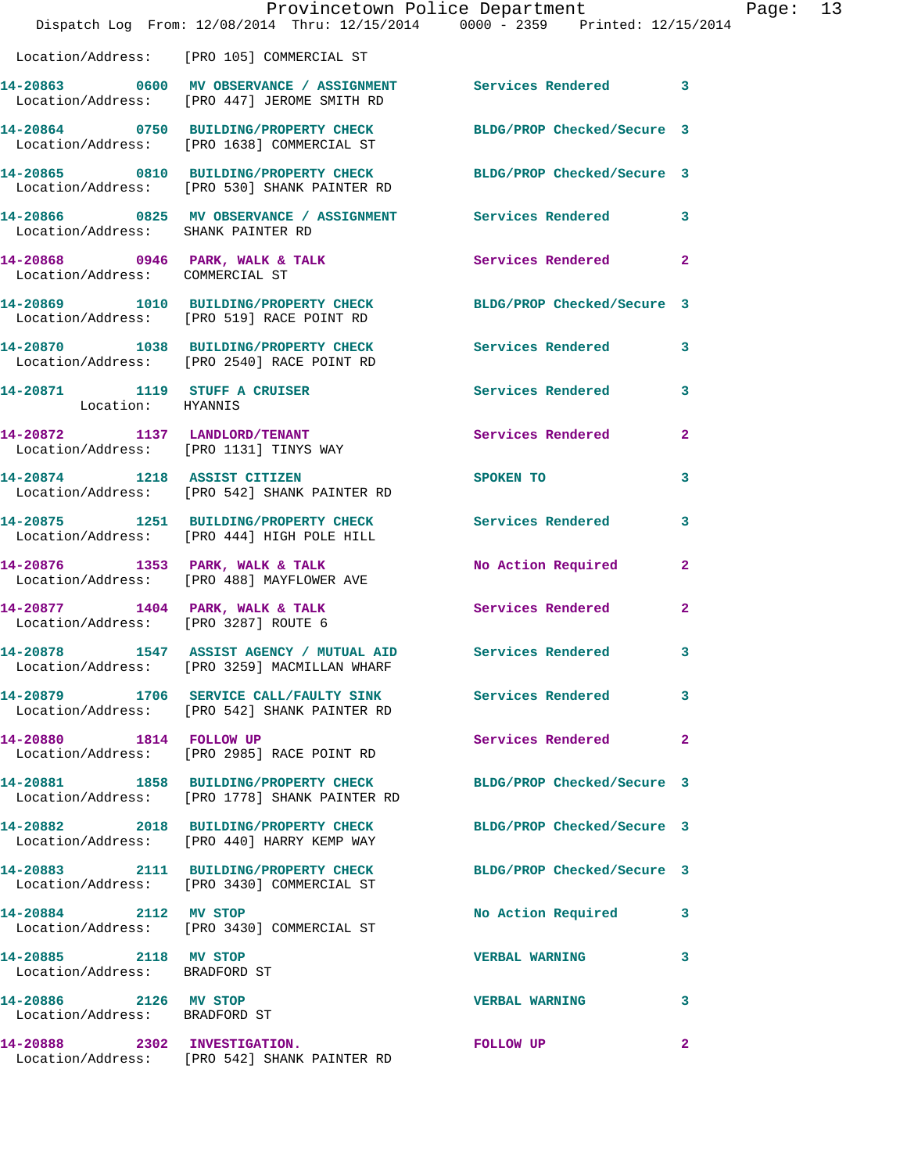|                                                        | Provincetown Police Department<br>Dispatch Log From: 12/08/2014 Thru: 12/15/2014 0000 - 2359 Printed: 12/15/2014 |                            |                |
|--------------------------------------------------------|------------------------------------------------------------------------------------------------------------------|----------------------------|----------------|
|                                                        | Location/Address: [PRO 105] COMMERCIAL ST                                                                        |                            |                |
| 14-20863                                               | 0600 MV OBSERVANCE / ASSIGNMENT Services Rendered<br>Location/Address: [PRO 447] JEROME SMITH RD                 |                            | 3              |
|                                                        | 14-20864 0750 BUILDING/PROPERTY CHECK<br>Location/Address: [PRO 1638] COMMERCIAL ST                              | BLDG/PROP Checked/Secure 3 |                |
|                                                        | 14-20865 0810 BUILDING/PROPERTY CHECK BLDG/PROP Checked/Secure 3<br>Location/Address: [PRO 530] SHANK PAINTER RD |                            |                |
| Location/Address: SHANK PAINTER RD                     | 14-20866 6 0825 MV OBSERVANCE / ASSIGNMENT Services Rendered                                                     |                            | 3              |
| Location/Address: COMMERCIAL ST                        | 14-20868 0946 PARK, WALK & TALK Services Rendered                                                                |                            | $\overline{2}$ |
|                                                        | 14-20869 1010 BUILDING/PROPERTY CHECK<br>Location/Address: [PRO 519] RACE POINT RD                               | BLDG/PROP Checked/Secure 3 |                |
|                                                        | 14-20870 1038 BUILDING/PROPERTY CHECK<br>Location/Address: [PRO 2540] RACE POINT RD                              | <b>Services Rendered</b>   | 3              |
| 14-20871 1119 STUFF A CRUISER<br>Location: HYANNIS     |                                                                                                                  | <b>Services Rendered</b>   | 3              |
| Location/Address: [PRO 1131] TINYS WAY                 | 14-20872 1137 LANDLORD/TENANT                                                                                    | Services Rendered          | $\mathbf{2}$   |
| 14-20874 1218 ASSIST CITIZEN                           | Location/Address: [PRO 542] SHANK PAINTER RD                                                                     | <b>SPOKEN TO</b>           | 3              |
|                                                        | 14-20875 1251 BUILDING/PROPERTY CHECK<br>Location/Address: [PRO 444] HIGH POLE HILL                              | Services Rendered          | 3              |
|                                                        | 14-20876 1353 PARK, WALK & TALK<br>Location/Address: [PRO 488] MAYFLOWER AVE                                     | No Action Required         | $\mathbf{2}$   |
| Location/Address: [PRO 3287] ROUTE 6                   | 14-20877 1404 PARK, WALK & TALK                                                                                  | Services Rendered          | $\mathbf{2}$   |
| 14-20878                                               | 1547 ASSIST AGENCY / MUTUAL AID Services Rendered<br>Location/Address: [PRO 3259] MACMILLAN WHARF                |                            | 3              |
|                                                        | 14-20879 1706 SERVICE CALL/FAULTY SINK Services Rendered<br>Location/Address: [PRO 542] SHANK PAINTER RD         |                            | 3              |
| 14-20880 1814 FOLLOW UP                                | Location/Address: [PRO 2985] RACE POINT RD                                                                       | Services Rendered          | $\mathbf{2}$   |
|                                                        | 14-20881 1858 BUILDING/PROPERTY CHECK<br>Location/Address: [PRO 1778] SHANK PAINTER RD                           | BLDG/PROP Checked/Secure 3 |                |
|                                                        | 14-20882 2018 BUILDING/PROPERTY CHECK<br>Location/Address: [PRO 440] HARRY KEMP WAY                              | BLDG/PROP Checked/Secure 3 |                |
|                                                        | 14-20883 2111 BUILDING/PROPERTY CHECK BLDG/PROP Checked/Secure 3<br>Location/Address: [PRO 3430] COMMERCIAL ST   |                            |                |
| 14-20884 2112 MV STOP                                  | Location/Address: [PRO 3430] COMMERCIAL ST                                                                       | No Action Required         | 3              |
| 14-20885 2118 MV STOP<br>Location/Address: BRADFORD ST |                                                                                                                  | <b>VERBAL WARNING</b>      | 3              |
| 14-20886 2126 MV STOP<br>Location/Address: BRADFORD ST |                                                                                                                  | <b>VERBAL WARNING</b>      | 3              |
|                                                        | 14-20888 2302 INVESTIGATION.<br>Location/Address: [PRO 542] SHANK PAINTER RD                                     | FOLLOW UP                  | 2              |

Page: 13